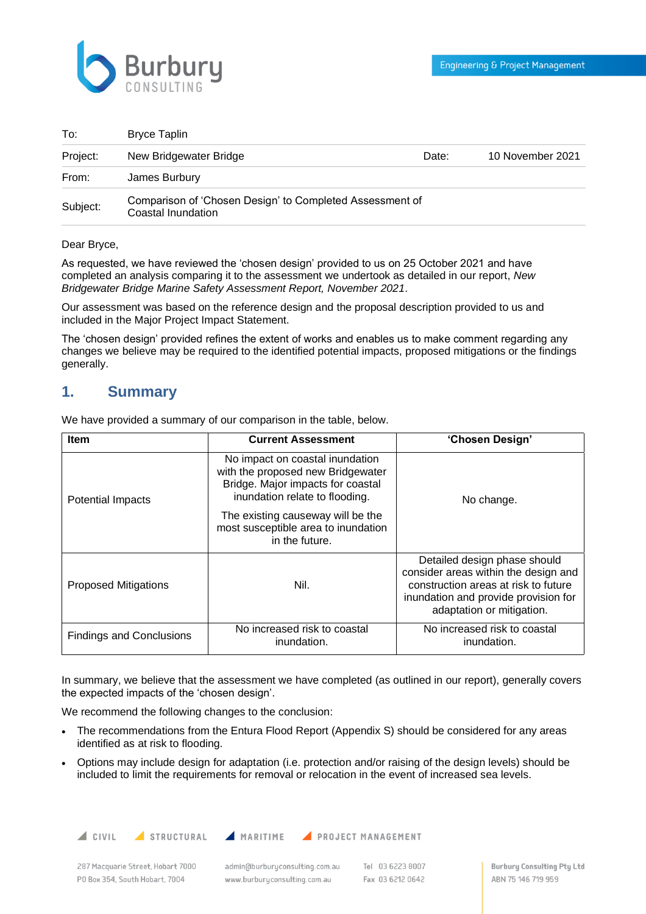

| To:      | Bryce Taplin                                                                   |       |                  |
|----------|--------------------------------------------------------------------------------|-------|------------------|
| Project: | New Bridgewater Bridge                                                         | Date: | 10 November 2021 |
| From:    | James Burbury                                                                  |       |                  |
| Subject: | Comparison of 'Chosen Design' to Completed Assessment of<br>Coastal Inundation |       |                  |

#### Dear Bryce,

As requested, we have reviewed the 'chosen design' provided to us on 25 October 2021 and have completed an analysis comparing it to the assessment we undertook as detailed in our report, *New Bridgewater Bridge Marine Safety Assessment Report, November 2021*.

Our assessment was based on the reference design and the proposal description provided to us and included in the Major Project Impact Statement.

The 'chosen design' provided refines the extent of works and enables us to make comment regarding any changes we believe may be required to the identified potential impacts, proposed mitigations or the findings generally.

### **1. Summary**

We have provided a summary of our comparison in the table, below.

| <b>Item</b>                     | <b>Current Assessment</b>                                                                                                                   | 'Chosen Design'                                                                                                                                                                   |  |
|---------------------------------|---------------------------------------------------------------------------------------------------------------------------------------------|-----------------------------------------------------------------------------------------------------------------------------------------------------------------------------------|--|
| <b>Potential Impacts</b>        | No impact on coastal inundation<br>with the proposed new Bridgewater<br>Bridge. Major impacts for coastal<br>inundation relate to flooding. | No change.                                                                                                                                                                        |  |
|                                 | The existing causeway will be the<br>most susceptible area to inundation<br>in the future.                                                  |                                                                                                                                                                                   |  |
| <b>Proposed Mitigations</b>     | Nil.                                                                                                                                        | Detailed design phase should<br>consider areas within the design and<br>construction areas at risk to future<br>inundation and provide provision for<br>adaptation or mitigation. |  |
| <b>Findings and Conclusions</b> | No increased risk to coastal<br>inundation.                                                                                                 | No increased risk to coastal<br>inundation.                                                                                                                                       |  |

In summary, we believe that the assessment we have completed (as outlined in our report), generally covers the expected impacts of the 'chosen design'.

We recommend the following changes to the conclusion:

- The recommendations from the Entura Flood Report (Appendix S) should be considered for any areas identified as at risk to flooding.
- Options may include design for adaptation (i.e. protection and/or raising of the design levels) should be included to limit the requirements for removal or relocation in the event of increased sea levels.

 $\triangle$  CIVIL

STRUCTURAL

MARITIME PROJECT MANAGEMENT

287 Macquarie Street, Hobart 7000 PO Box 354, South Hobart, 7004

admin@burburuconsulting.com.au www.burburyconsulting.com.au

Tel 03 6223 8007 Fax 03 6212 0642

**Burbury Consulting Pty Ltd** ABN 75 146 719 959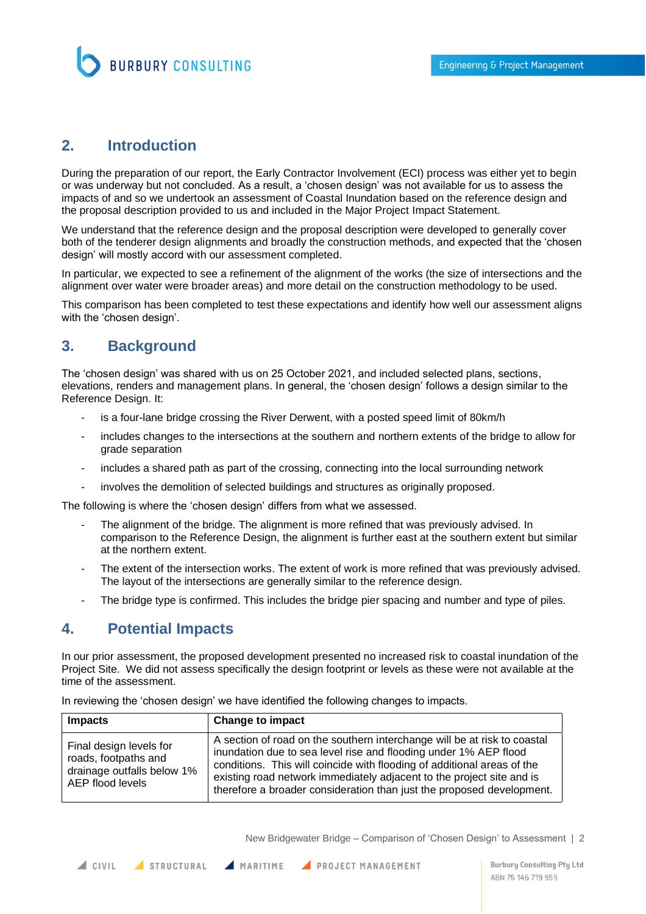

## **2. Introduction**

During the preparation of our report, the Early Contractor Involvement (ECI) process was either yet to begin or was underway but not concluded. As a result, a 'chosen design' was not available for us to assess the impacts of and so we undertook an assessment of Coastal Inundation based on the reference design and the proposal description provided to us and included in the Major Project Impact Statement.

We understand that the reference design and the proposal description were developed to generally cover both of the tenderer design alignments and broadly the construction methods, and expected that the 'chosen design' will mostly accord with our assessment completed.

In particular, we expected to see a refinement of the alignment of the works (the size of intersections and the alignment over water were broader areas) and more detail on the construction methodology to be used.

This comparison has been completed to test these expectations and identify how well our assessment aligns with the 'chosen design'.

## **3. Background**

The 'chosen design' was shared with us on 25 October 2021, and included selected plans, sections, elevations, renders and management plans. In general, the 'chosen design' follows a design similar to the Reference Design. It:

- is a four-lane bridge crossing the River Derwent, with a posted speed limit of 80km/h
- includes changes to the intersections at the southern and northern extents of the bridge to allow for grade separation
- includes a shared path as part of the crossing, connecting into the local surrounding network
- involves the demolition of selected buildings and structures as originally proposed.

The following is where the 'chosen design' differs from what we assessed.

- The alignment of the bridge. The alignment is more refined that was previously advised. In comparison to the Reference Design, the alignment is further east at the southern extent but similar at the northern extent.
- The extent of the intersection works. The extent of work is more refined that was previously advised. The layout of the intersections are generally similar to the reference design.
- The bridge type is confirmed. This includes the bridge pier spacing and number and type of piles.

## **4. Potential Impacts**

In our prior assessment, the proposed development presented no increased risk to coastal inundation of the Project Site. We did not assess specifically the design footprint or levels as these were not available at the time of the assessment.

| <b>Impacts</b>                                                                                    | <b>Change to impact</b>                                                                                                                                                                                                                                                                                                                                                   |
|---------------------------------------------------------------------------------------------------|---------------------------------------------------------------------------------------------------------------------------------------------------------------------------------------------------------------------------------------------------------------------------------------------------------------------------------------------------------------------------|
| Final design levels for<br>roads, footpaths and<br>drainage outfalls below 1%<br>AEP flood levels | A section of road on the southern interchange will be at risk to coastal<br>inundation due to sea level rise and flooding under 1% AEP flood<br>conditions. This will coincide with flooding of additional areas of the<br>existing road network immediately adjacent to the project site and is<br>therefore a broader consideration than just the proposed development. |

In reviewing the 'chosen design' we have identified the following changes to impacts.

New Bridgewater Bridge – Comparison of 'Chosen Design' to Assessment | 2